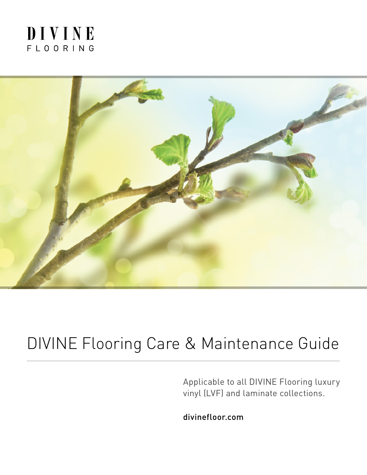### DIVINE FLOORING



## DIVINE Flooring Care & Maintenance Guide

Applicable to all DIVINE Flooring luxury vinyl (LVF) and laminate collections.

divinefloor.com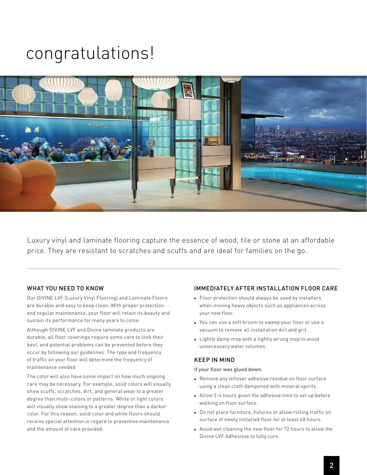# congratulations!



Luxury vinyl and laminate flooring capture the essence of wood, tile or stone at an affordable price. They are resistant to scratches and scuffs and are ideal for families on the go.

### WHAT YOU NEED TO KNOW

Our DIVINE LVF (Luxury Vinyl Flooring) and Laminate Floors are durable and easy to keep clean. With proper protection and regular maintenance, your floor will retain its beauty and sustain its performance for many years to come.

Although DIVINE LVF and Divine laminate products are durable, all floor coverings require some care to look their best, and potential problems can be prevented before they occur by following our guidelines. The type and frequency of traffic on your floor will determine the frequency of maintenance needed.

The color will also have some impact on how much ongoing care may be necessary. For example, solid colors will visually show scuffs, scratches, dirt, and general wear to a greater degree than multi-colors or patterns. White or light colors will visually show staining to a greater degree than a darker color. For this reason, solid color and white floors should receive special attention in regard to preventive maintenance and the amount of care provided.

#### IMMEDIATELY AFTER INSTALLATION FLOOR CARE

- Floor protection should always be used by installers when moving heavy objects such as appliances across your new floor.
- You can use a soft broom to sweep your floor or use a vacuum to remove all installation dirt and grit.
- **Example 1** Lightly damp mop with a tightly wrung mop to avoid unnecessary water volumes.

#### KEEP IN MIND

If your floor was glued down:

- n Remove any leftover adhesive residue on floor surface using a clean cloth dampened with mineral spirits.
- n Allow 3-4 hours given the adhesive time to set up before walking on floor surface.
- Do not place furniture, fixtures or allow rolling traffic on surface of newly installed floor for at least 48 hours.
- <sup>n</sup> Avoid wet cleaning the new floor for 72 hours to allow the Divine LVF Adhesisve to fully cure.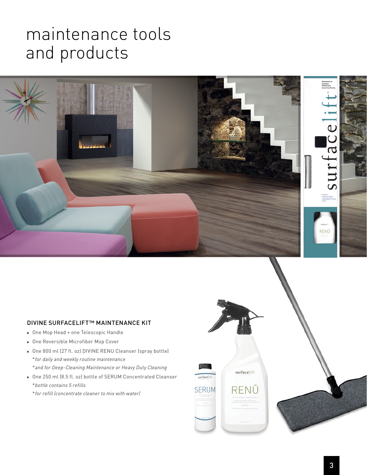## maintenance tools and products



### DIVINE SURFACELIFT™ MAINTENANCE KIT

- One Mop Head + one Telescopic Handle
- **n** One Reversible Microfiber Mop Cover
- n One 800 ml (27 fl. oz) DIVINE RENU Cleanser (spray bottle) \**for daily and weekly routine maintenance* \**and for Deep-Cleaning Maintenance or Heavy Duty Cleaning*
- One 250 ml (8.5 fl. oz) bottle of SERUM Concentrated Cleanser \**bottle contains 5 refills*
	- \**for refill (concentrate cleaner to mix with water)*



surfacelift

RENŪ

surfacelift

**SERUM**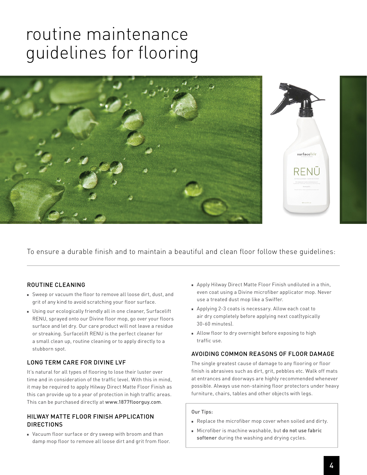## routine maintenance guidelines for flooring



To ensure a durable finish and to maintain a beautiful and clean floor follow these guidelines:

### ROUTINE CLEANING

- Sweep or vacuum the floor to remove all loose dirt, dust, and grit of any kind to avoid scratching your floor surface.
- **Journal** Using our ecologically friendly all in one cleaner, Surfacelift RENU, sprayed onto our Divine floor mop, go over your floors surface and let dry. Our care product will not leave a residue or streaking. Surfacelift RENU is the perfect cleaner for a small clean up, routine cleaning or to apply directly to a stubborn spot.

### LONG TERM CARE FOR DIVINE LVF

It's natural for all types of flooring to lose their luster over time and in consideration of the traffic level. With this in mind, it may be required to apply Hilway Direct Matte Floor Finish as this can provide up to a year of protection in high traffic areas. This can be purchased directly at www.1877floorguy.com.

#### HILWAY MATTE FLOOR FINISH APPLICATION **DIRECTIONS**

**Nacuum floor surface or dry sweep with broom and than** damp mop floor to remove all loose dirt and grit from floor.

- Apply Hilway Direct Matte Floor Finish undiluted in a thin, even coat using a Divine microfiber applicator mop. Never use a treated dust mop like a Swiffer.
- <sup>n</sup> Applying 2-3 coats is necessary. Allow each coat to air dry completely before applying next coat(typically 30-60 minutes).
- n Allow floor to dry overnight before exposing to high traffic use.

### AVOIDING COMMON REASONS OF FLOOR DAMAGE

The single greatest cause of damage to any flooring or floor finish is abrasives such as dirt, grit, pebbles etc. Walk off mats at entrances and doorways are highly recommended whenever possible. Always use non-staining floor protectors under heavy furniture, chairs, tables and other objects with legs.

#### Our Tips:

- n Replace the microfiber mop cover when soiled and dirty.
- <sup>n</sup> Microfiber is machine washable, but do not use fabric softener during the washing and drying cycles.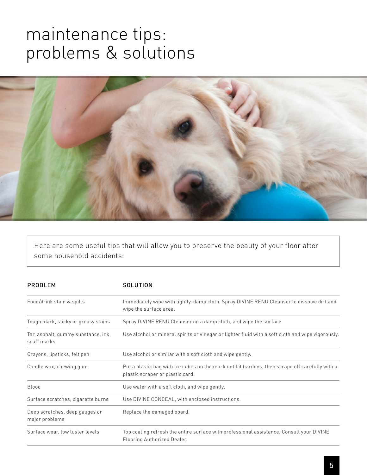### maintenance tips: problems & solutions



Here are some useful tips that will allow you to preserve the beauty of your floor after some household accidents:

| <b>PROBLEM</b>                                     | <b>SOLUTION</b>                                                                                                                     |
|----------------------------------------------------|-------------------------------------------------------------------------------------------------------------------------------------|
| Food/drink stain & spills                          | Immediately wipe with lightly-damp cloth. Spray DIVINE RENU Cleanser to dissolve dirt and<br>wipe the surface area.                 |
| Tough, dark, sticky or greasy stains               | Spray DIVINE RENU Cleanser on a damp cloth, and wipe the surface.                                                                   |
| Tar, asphalt, gummy substance, ink,<br>scuff marks | Use alcohol or mineral spirits or vinegar or lighter fluid with a soft cloth and wipe vigorously.                                   |
| Crayons, lipsticks, felt pen                       | Use alcohol or similar with a soft cloth and wipe gently.                                                                           |
| Candle wax, chewing gum                            | Put a plastic bag with ice cubes on the mark until it hardens, then scrape off carefully with a<br>plastic scraper or plastic card. |
| Blood                                              | Use water with a soft cloth, and wipe gently.                                                                                       |
| Surface scratches, cigarette burns                 | Use DIVINE CONCEAL, with enclosed instructions.                                                                                     |
| Deep scratches, deep gauges or<br>major problems   | Replace the damaged board.                                                                                                          |
| Surface wear, low luster levels                    | Top coating refresh the entire surface with professional assistance. Consult your DIVINE<br>Flooring Authorized Dealer.             |